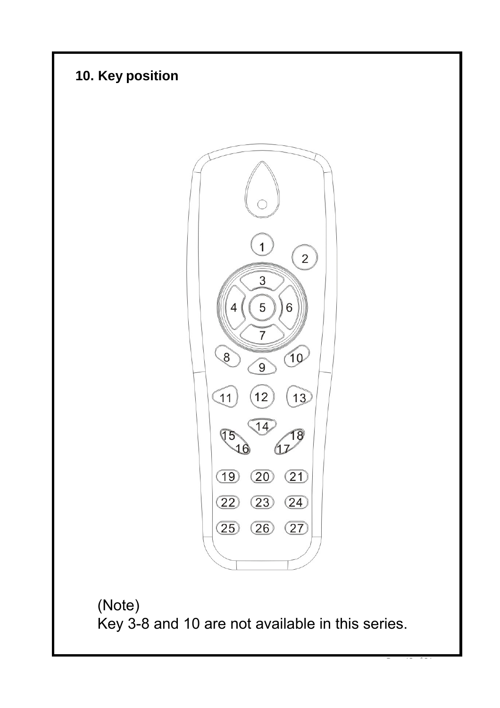